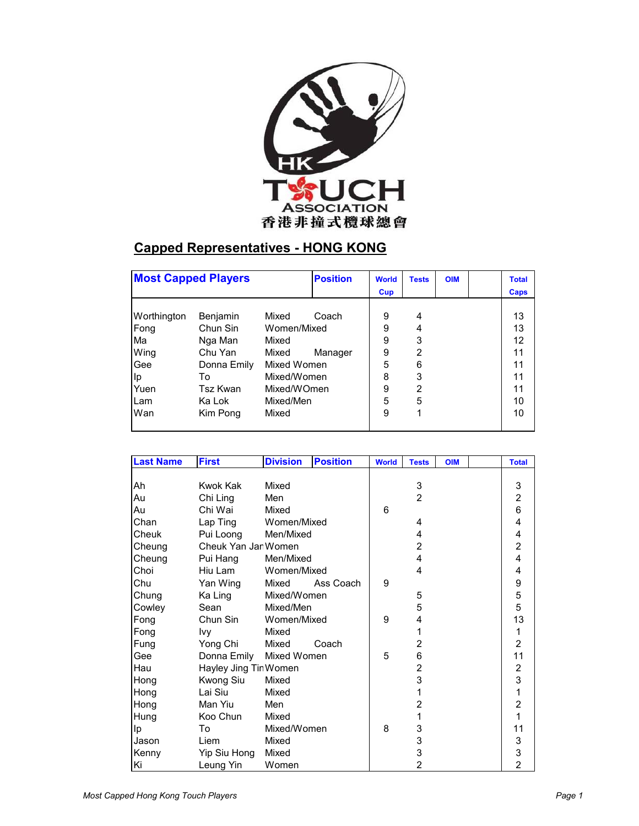

## **Capped Representatives - HONG KONG**

| <b>Most Capped Players</b> |             | <b>Position</b> | <b>World</b> | <b>Tests</b> | <b>OIM</b> | <b>Total</b> |    |
|----------------------------|-------------|-----------------|--------------|--------------|------------|--------------|----|
|                            |             |                 | Cup          |              |            | Caps         |    |
|                            |             |                 |              |              |            |              |    |
| Worthington                | Benjamin    | Mixed           | Coach        | 9            | 4          |              | 13 |
| Fong                       | Chun Sin    | Women/Mixed     |              | 9            | 4          |              | 13 |
| Ma                         | Nga Man     | Mixed           |              | 9            | 3          |              | 12 |
| Wing                       | Chu Yan     | Mixed           | Manager      | 9            | 2          |              | 11 |
| Gee                        | Donna Emily | Mixed Women     |              | 5            | 6          |              | 11 |
| Ip                         | To          |                 | Mixed/Women  |              | 3          |              | 11 |
| Yuen                       | Tsz Kwan    | Mixed/WOmen     |              | 9            | 2          |              | 11 |
| Lam                        | Ka Lok      | Mixed/Men       |              | 5            | 5          |              | 10 |
| Wan                        | Kim Pong    | Mixed           |              | 9            |            |              | 10 |
|                            |             |                 |              |              |            |              |    |

| <b>Last Name</b> | <b>First</b>          | <b>Division</b> | <b>Position</b> | <b>World</b> | <b>Tests</b>   | <b>OIM</b> | <b>Total</b>            |
|------------------|-----------------------|-----------------|-----------------|--------------|----------------|------------|-------------------------|
|                  |                       |                 |                 |              |                |            |                         |
| Ah               | Kwok Kak              | Mixed           |                 |              | 3              |            | 3                       |
| Au               | Chi Ling              | Men             |                 |              | $\overline{2}$ |            | $\overline{2}$          |
| Au               | Chi Wai               | Mixed           |                 | 6            |                |            | 6                       |
| Chan             | Lap Ting              | Women/Mixed     |                 |              | 4              |            | $\overline{\mathbf{4}}$ |
| Cheuk            | Pui Loong             | Men/Mixed       |                 |              | 4              |            | $\overline{\mathbf{4}}$ |
| Cheung           | Cheuk Yan Jar Women   |                 |                 |              | 2              |            | $\overline{2}$          |
| Cheung           | Pui Hang              | Men/Mixed       |                 |              | 4              |            | $\overline{\mathbf{4}}$ |
| Choi             | Hiu Lam               | Women/Mixed     |                 |              | 4              |            | 4                       |
| Chu              | Yan Wing              | Mixed           | Ass Coach       | 9            |                |            | 9                       |
| Chung            | Ka Ling               | Mixed/Women     |                 |              | 5              |            | $\frac{5}{5}$           |
| Cowley           | Sean                  | Mixed/Men       |                 |              | 5              |            |                         |
| Fong             | Chun Sin              | Women/Mixed     |                 | 9            | 4              |            | 13                      |
| Fong             | lvy                   | Mixed           |                 |              | 1              |            | $\mathbf{1}$            |
| Fung             | Yong Chi              | Mixed           | Coach           |              | $\overline{2}$ |            | $\overline{2}$          |
| Gee              | Donna Emily           | Mixed Women     |                 | 5            | 6              |            | 11                      |
| Hau              | Hayley Jing Tir Women |                 |                 |              | 2              |            | $\boldsymbol{2}$        |
| Hong             | Kwong Siu             | Mixed           |                 |              | 3              |            | 3                       |
| Hong             | Lai Siu               | Mixed           |                 |              | 1              |            | $\mathbf{1}$            |
| Hong             | Man Yiu               | Men             |                 |              | 2              |            | $\overline{2}$          |
| Hung             | Koo Chun              | Mixed           |                 |              | 1              |            | $\mathbf{1}$            |
| lp               | To                    | Mixed/Women     |                 | 8            | 3              |            | 11                      |
| Jason            | Liem                  | Mixed           |                 | 3            |                | 3          |                         |
| Kenny            | Yip Siu Hong          | Mixed           |                 |              | 3              |            | 3                       |
| Ki               | Leung Yin             | Women           |                 |              | $\overline{2}$ |            | $\overline{2}$          |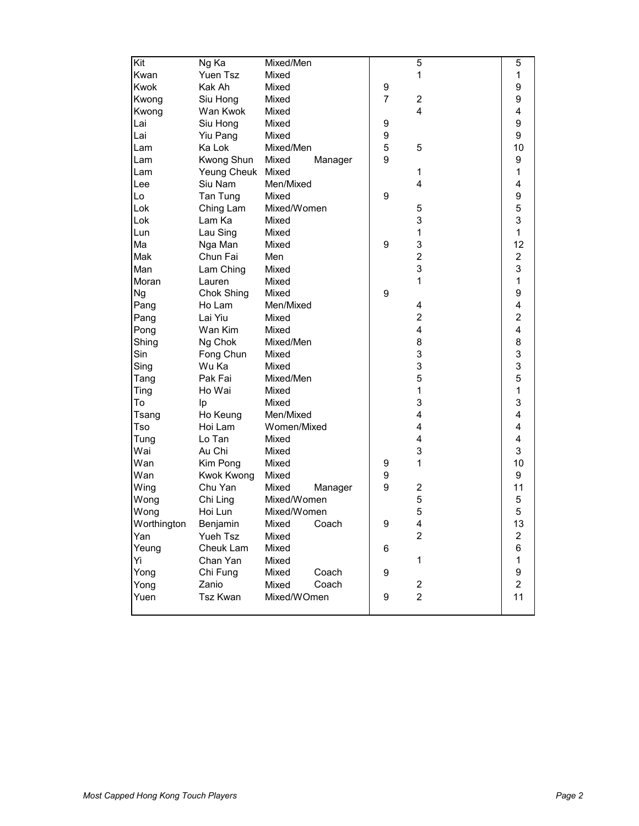| Kit                | Ng Ka             | Mixed/Men        |                | 5                       | 5                       |
|--------------------|-------------------|------------------|----------------|-------------------------|-------------------------|
| Kwan               | Yuen Tsz          | Mixed            |                | 1                       | 1                       |
| <b>Kwok</b>        | Kak Ah            | Mixed            | 9              |                         | 9                       |
| Kwong              | Siu Hong          | Mixed            | $\overline{7}$ | 2                       | 9                       |
| Kwong              | Wan Kwok          | Mixed            |                | 4                       | $\overline{\mathbf{4}}$ |
| Lai                | Siu Hong          | Mixed            | 9              |                         | 9                       |
| Lai                | Yiu Pang          | Mixed            | 9              |                         | 9                       |
| Lam                | Ka Lok            | Mixed/Men        | 5              | 5                       | 10                      |
| Lam                | Kwong Shun        | Mixed<br>Manager | 9              |                         | 9                       |
| Lam                | Yeung Cheuk Mixed |                  |                | 1                       | $\mathbf{1}$            |
| Lee                | Siu Nam           | Men/Mixed        |                | 4                       | 4                       |
| Lo                 | Tan Tung          | Mixed            | 9              |                         | 9                       |
| Lok                | Ching Lam         | Mixed/Women      |                | 5                       | 5                       |
| Lok                | Lam Ka            | Mixed            |                | 3                       | 3                       |
| Lun                | Lau Sing          | Mixed            |                | 1                       | $\mathbf{1}$            |
| Ma                 | Nga Man           | Mixed            | 9              | 3                       | 12                      |
| Mak                | Chun Fai          | Men              |                | $\overline{2}$          | $\overline{2}$          |
| Man                | Lam Ching         | Mixed            |                | 3                       | 3                       |
| Moran              | Lauren            | Mixed            |                | 1                       | $\mathbf{1}$            |
| Ng                 | Chok Shing        | Mixed            | 9              |                         | 9                       |
| Pang               | Ho Lam            | Men/Mixed        |                | 4                       | $\overline{\mathbf{4}}$ |
| Pang               | Lai Yiu           | Mixed            |                | $\overline{\mathbf{c}}$ | $\overline{c}$          |
| Pong               | Wan Kim           | Mixed            |                | $\overline{\mathbf{4}}$ | $\overline{\mathbf{4}}$ |
| Shing              | Ng Chok           | Mixed/Men        |                | 8                       | 8                       |
| Sin                | Fong Chun         | Mixed            |                | 3                       | 3                       |
| Sing               | Wu Ka             | Mixed            |                | 3                       | 3                       |
| Tang               | Pak Fai           | Mixed/Men        |                | 5                       | 5                       |
| Ting               | Ho Wai            | Mixed            |                | 1                       | $\mathbf{1}$            |
| To                 | Ip                | Mixed            |                | 3                       | 3                       |
| Tsang              | Ho Keung          | Men/Mixed        |                | 4                       | $\overline{\mathbf{4}}$ |
| Tso                | Hoi Lam           | Women/Mixed      |                | 4                       | 4                       |
| Tung               | Lo Tan            | Mixed            |                | 4                       | 4                       |
| Wai                | Au Chi            | Mixed            |                | 3                       | 3                       |
| Wan                | Kim Pong          | Mixed            | 9              | 1                       | 10                      |
| Wan                | <b>Kwok Kwong</b> | Mixed            | 9              |                         | 9                       |
| Wing               | Chu Yan           | Mixed<br>Manager | 9              | 2                       | 11                      |
| Wong               | Chi Ling          | Mixed/Women      |                | 5                       | 5                       |
| Wong               | Hoi Lun           | Mixed/Women      |                | 5                       | 5                       |
|                    | Benjamin          | Mixed            | 9              | 4                       | 13                      |
| Worthington<br>Yan | Yueh Tsz          | Coach<br>Mixed   |                | $\overline{2}$          | $\overline{c}$          |
| Yeung              | Cheuk Lam         | Mixed            | 6              |                         | 6                       |
| Υi                 | Chan Yan          | Mixed            |                | 1                       | $\mathbf{1}$            |
|                    | Chi Fung          | Mixed<br>Coach   | 9              |                         | 9                       |
| Yong<br>Yong       | Zanio             | Coach<br>Mixed   |                | $\overline{2}$          | $\overline{a}$          |
| Yuen               | Tsz Kwan          | Mixed/WOmen      | 9              | $\overline{2}$          | 11                      |
|                    |                   |                  |                |                         |                         |
|                    |                   |                  |                |                         |                         |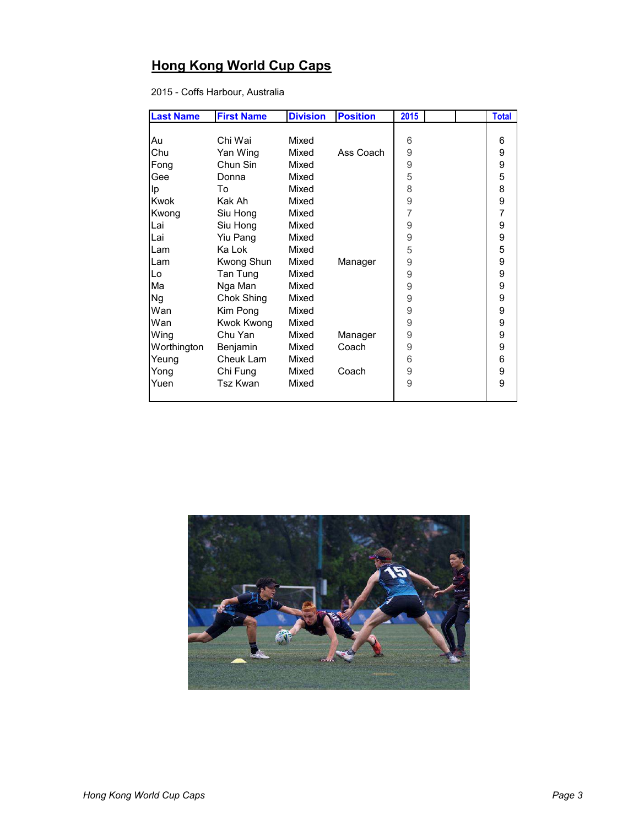## **Hong Kong World Cup Caps**

2015 - Coffs Harbour, Australia

| <b>Last Name</b> | <b>First Name</b> | <b>Division</b> | <b>Position</b> | 2015 |  | <b>Total</b> |
|------------------|-------------------|-----------------|-----------------|------|--|--------------|
|                  |                   |                 |                 |      |  |              |
| Au               | Chi Wai           | Mixed           |                 | 6    |  | 6            |
| Chu              | Yan Wing          | Mixed           | Ass Coach       | 9    |  | 9            |
| Fong             | Chun Sin          | Mixed           |                 | 9    |  | 9            |
| Gee              | Donna             | Mixed           |                 | 5    |  | 5            |
| Ip               | To                | Mixed           |                 | 8    |  | 8            |
| Kwok             | Kak Ah            | Mixed           |                 | 9    |  | 9            |
| Kwong            | Siu Hong          | Mixed           |                 | 7    |  | 7            |
| Lai              | Siu Hong          | Mixed           |                 | 9    |  | 9            |
| Lai              | Yiu Pang          | Mixed           |                 | 9    |  | 9            |
| Lam              | Ka Lok            | Mixed           |                 | 5    |  | 5            |
| Lam              | Kwong Shun        | Mixed           | Manager         | 9    |  | 9            |
| Lo               | Tan Tung          | Mixed           |                 | 9    |  | 9            |
| Ma               | Nga Man           | Mixed           |                 | 9    |  | 9            |
| <b>Ng</b>        | Chok Shing        | Mixed           |                 | 9    |  | 9            |
| Wan              | Kim Pong          | Mixed           |                 | 9    |  | 9            |
| Wan              | Kwok Kwong        | Mixed           |                 | 9    |  | 9            |
| Wing             | Chu Yan           | Mixed           | Manager         | 9    |  | 9            |
| Worthington      | Benjamin          | Mixed           | Coach           | 9    |  | 9            |
| Yeung            | Cheuk Lam         | Mixed           |                 | 6    |  | 6            |
| Yong             | Chi Fung          | Mixed           | Coach           | 9    |  | 9            |
| Yuen             | <b>Tsz Kwan</b>   | Mixed           |                 | 9    |  | 9            |
|                  |                   |                 |                 |      |  |              |

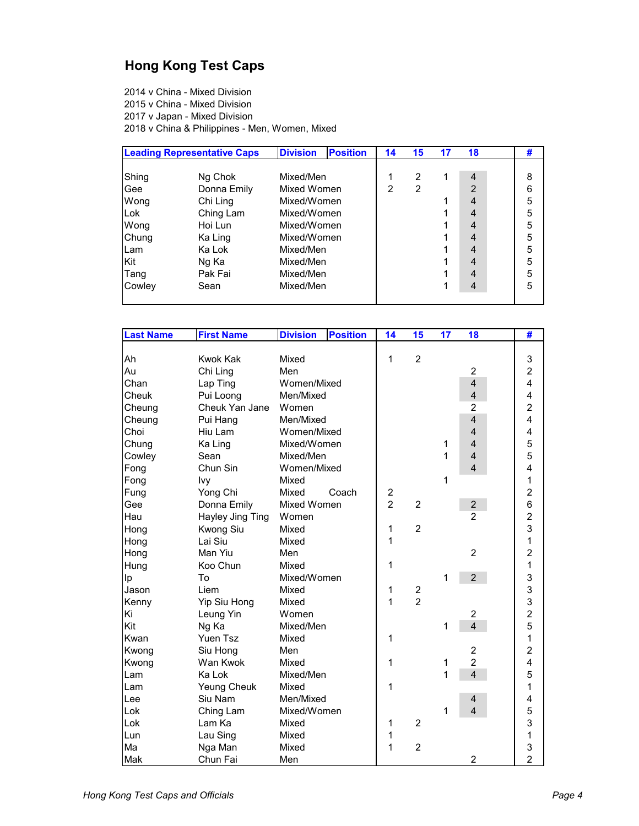## **Hong Kong Test Caps**

2014 v China - Mixed Division 2015 v China - Mixed Division 2017 v Japan - Mixed Division 2018 v China & Philippines - Men, Women, Mixed

|        | <b>Leading Representative Caps</b> | <b>Division</b><br><b>Position</b> |  | 14             | 15             | 17 | 18             | # |
|--------|------------------------------------|------------------------------------|--|----------------|----------------|----|----------------|---|
|        |                                    |                                    |  |                |                |    |                |   |
| Shing  | Ng Chok                            | Mixed/Men                          |  |                | 2              |    | 4              | 8 |
| Gee    | Donna Emily                        | Mixed Women                        |  | $\mathfrak{p}$ | $\overline{2}$ |    | 2              | 6 |
| Wong   | Chi Ling                           | Mixed/Women                        |  |                |                |    | $\overline{4}$ | 5 |
| Lok    | Ching Lam                          | Mixed/Women                        |  |                |                |    | 4              | 5 |
| Wong   | Hoi Lun                            | Mixed/Women                        |  |                |                |    | 4              | 5 |
| Chung  | Ka Ling                            | Mixed/Women                        |  |                |                |    | 4              | 5 |
| Lam    | Ka Lok                             | Mixed/Men                          |  |                |                |    | 4              | 5 |
| Kit    | Ng Ka                              | Mixed/Men                          |  |                |                |    | 4              | 5 |
| Tang   | Pak Fai                            | Mixed/Men                          |  |                |                |    | 4              | 5 |
| Cowley | Sean                               | Mixed/Men                          |  |                |                |    | 4              | 5 |
|        |                                    |                                    |  |                |                |    |                |   |

| <b>Last Name</b> | <b>First Name</b>  | <b>Division</b> | <b>Position</b> | 14                      | 15                      | 17           | 18                      | #                                          |
|------------------|--------------------|-----------------|-----------------|-------------------------|-------------------------|--------------|-------------------------|--------------------------------------------|
|                  |                    |                 |                 |                         |                         |              |                         |                                            |
| Ah               | <b>Kwok Kak</b>    | Mixed           |                 | 1                       | $\overline{2}$          |              |                         | 3                                          |
| Au               | Chi Ling           | Men             |                 |                         |                         |              | $\overline{2}$          | $\overline{c}$                             |
| Chan             | Lap Ting           | Women/Mixed     |                 |                         |                         |              | $\overline{4}$          | $\overline{4}$                             |
| Cheuk            | Pui Loong          | Men/Mixed       |                 |                         |                         |              | $\overline{4}$          | $\overline{\mathbf{4}}$                    |
| Cheung           | Cheuk Yan Jane     | Women           |                 |                         |                         |              | $\overline{2}$          | $\overline{2}$                             |
| Cheung           | Pui Hang           | Men/Mixed       |                 |                         |                         |              | $\overline{4}$          | $\overline{4}$                             |
| Choi             | Hiu Lam            | Women/Mixed     |                 |                         |                         |              | $\overline{4}$          | 4                                          |
| Chung            | Ka Ling            | Mixed/Women     |                 |                         |                         | 1            | $\overline{4}$          | $\frac{5}{5}$                              |
| Cowley           | Sean               | Mixed/Men       |                 |                         |                         | 1            | $\overline{4}$          |                                            |
| Fong             | Chun Sin           | Women/Mixed     |                 |                         |                         |              | $\overline{4}$          | 4                                          |
| Fong             | Ivy                | Mixed           |                 |                         |                         | $\mathbf{1}$ |                         | 1                                          |
| Fung             | Yong Chi           | Mixed           | Coach           | $\overline{\mathbf{c}}$ |                         |              |                         |                                            |
| Gee              | Donna Emily        | Mixed Women     |                 | $\overline{2}$          | $\overline{2}$          |              | $\overline{\mathbf{c}}$ | $\frac{2}{6}$                              |
| Hau              | Hayley Jing Ting   | Women           |                 |                         |                         |              | $\overline{2}$          |                                            |
| Hong             | Kwong Siu          | Mixed           |                 | 1                       | $\overline{c}$          |              |                         | $\frac{2}{3}$                              |
| Hong             | Lai Siu            | Mixed           |                 | 1                       |                         |              |                         | $\mathbf{1}$                               |
| Hong             | Man Yiu            | Men             |                 |                         |                         |              | $\overline{2}$          | $\overline{c}$                             |
| Hung             | Koo Chun           | Mixed           |                 | 1                       |                         |              |                         | $\mathbf{1}$                               |
| Ip               | To                 | Mixed/Women     |                 |                         |                         | 1            | $\overline{2}$          | 3                                          |
| Jason            | Liem               | Mixed           |                 | 1                       | $\overline{\mathbf{c}}$ |              |                         | 3                                          |
| Kenny            | Yip Siu Hong       | Mixed           |                 | $\overline{1}$          | $\overline{2}$          |              |                         |                                            |
| Ki               | Leung Yin          | Women           |                 |                         |                         |              | $\overline{c}$          |                                            |
| Kit              | Ng Ka              | Mixed/Men       |                 |                         |                         | 1            | $\overline{4}$          | $\begin{array}{c} 3 \\ 2 \\ 5 \end{array}$ |
| Kwan             | Yuen Tsz           | Mixed           |                 | 1                       |                         |              |                         | $\overline{1}$                             |
| Kwong            | Siu Hong           | Men             |                 |                         |                         |              | $\overline{2}$          | $\overline{2}$                             |
| Kwong            | Wan Kwok           | Mixed           |                 | 1                       |                         | 1            | $\overline{2}$          | 4                                          |
| <b>Lam</b>       | Ka Lok             | Mixed/Men       |                 |                         |                         | 1            | $\overline{4}$          | 5                                          |
| Lam              | <b>Yeung Cheuk</b> | Mixed           |                 | 1                       |                         |              |                         | 1                                          |
| Lee              | Siu Nam            | Men/Mixed       |                 |                         |                         |              | 4                       | 4                                          |
| Lok              | Ching Lam          | Mixed/Women     |                 |                         |                         | 1            | $\overline{4}$          | 5                                          |
| Lok              | Lam Ka             | Mixed           |                 | 1                       | $\overline{2}$          |              |                         | 3                                          |
| Lun              | Lau Sing           | Mixed           |                 | 1                       |                         |              |                         | $\mathbf{1}$                               |
| Ma               | Nga Man            | Mixed           |                 | 1                       | $\overline{c}$          |              |                         | 3                                          |
| Mak              | Chun Fai           | Men             |                 |                         |                         |              | $\overline{\mathbf{c}}$ | $\overline{2}$                             |